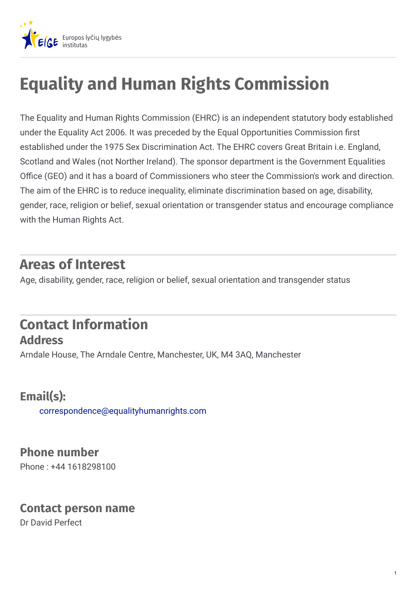

# **Equality and Human Rights Commission**

The Equality and Human Rights Commission (EHRC) is an independent statutory body established under the Equality Act 2006. It was preceded by the Equal Opportunities Commission first established under the 1975 Sex Discrimination Act. The EHRC covers Great Britain i.e. England, Scotland and Wales (not Norther Ireland). The sponsor department is the Government Equalities Office (GEO) and it has a board of Commissioners who steer the Commission's work and direction. The aim of the EHRC is to reduce inequality, eliminate discrimination based on age, disability, gender, race, religion or belief, sexual orientation or transgender status and encourage compliance with the Human Rights Act.

## **Areas of Interest**

Age, disability, gender, race, religion or belief, sexual orientation and transgender status

## **Contact Information Address**

Arndale House, The Arndale Centre, Manchester, UK, M4 3AQ, Manchester

### **Email(s):**

[correspondence@equalityhumanrights.com](mailto:correspondence@equalityhumanrights.com)

#### **Phone number**

Phone : +44 1618298100

#### **Contact person name**

Dr David Perfect